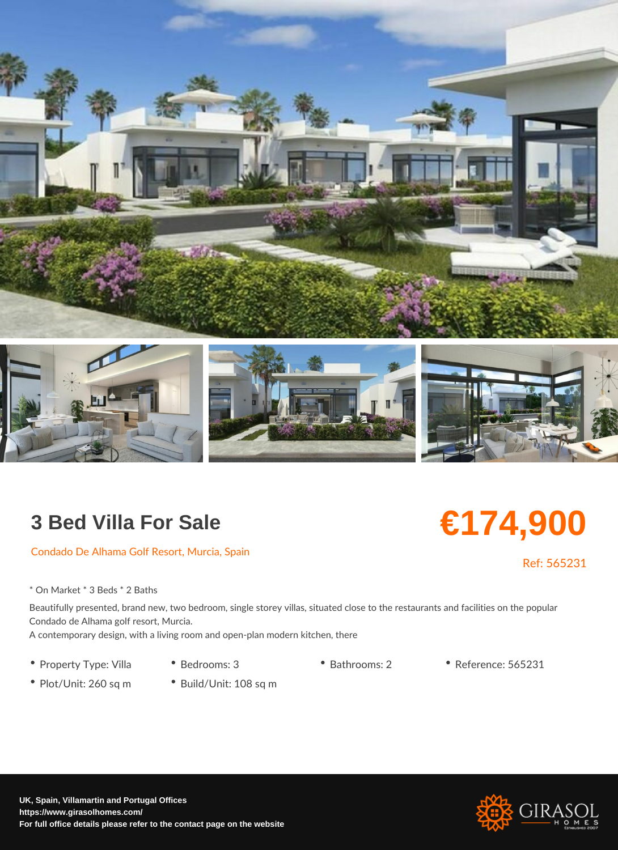## 3 Bed Villa For Sale

Condado De Alhama Golf Resort, Murcia, Spain

\* On Market \* 3 Beds \* 2 Baths

Beautifully presented, brand new, two bedroom, single storey villas, situated close to the Condado de Alhama golf resort, Murcia. A contemporary design, with a living room and open-plan modern kitchen, there

- 
- Property Type: VillBedrooms: 3 Bathrooms: 2 Reference: 565231
- Plot/Unit: 260 sq ·mBuild/Unit: 108 sq m

€174,900

Ref: 56523